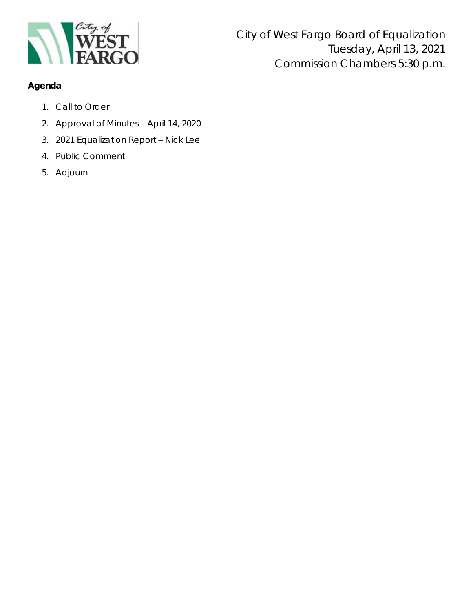

## **Agenda**

- 1. Call to Order
- 2. Approval of Minutes April 14, 2020
- 3. 2021 Equalization Report Nick Lee
- 4. Public Comment
- 5. Adjourn